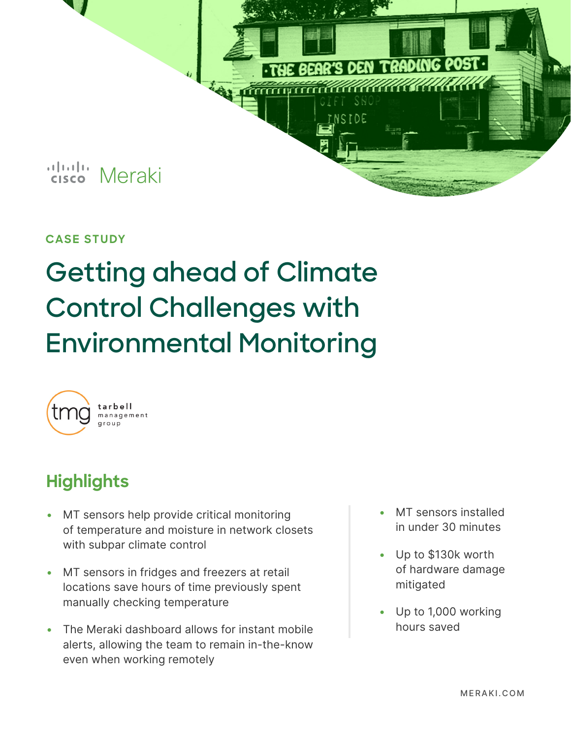

#### **CASE STUDY**

# **Getting ahead of Climate Control Challenges with Environmental Monitoring**



### **Highlights**

- MT sensors help provide critical monitoring of temperature and moisture in network closets with subpar climate control
- • MT sensors in fridges and freezers at retail locations save hours of time previously spent manually checking temperature
- The Meraki dashboard allows for instant mobile alerts, allowing the team to remain in-the-know even when working remotely
- MT sensors installed in under 30 minutes
- Up to \$130k worth of hardware damage mitigated
- Up to 1,000 working hours saved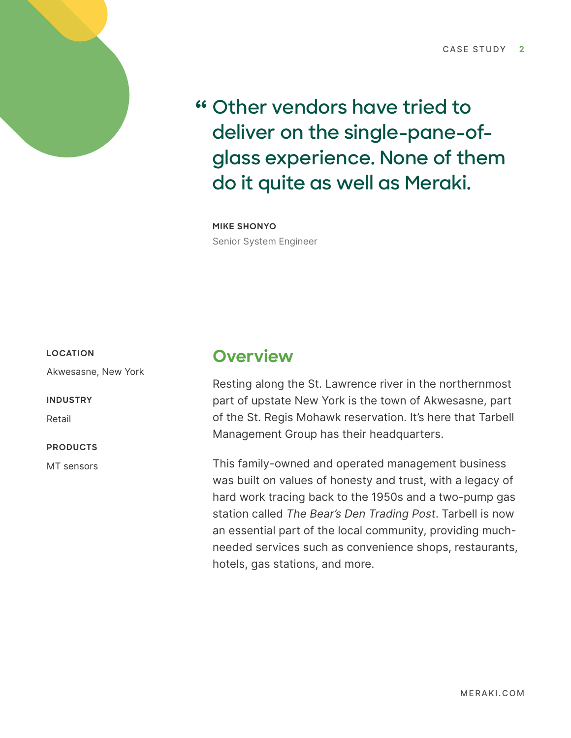

**Other vendors have tried to deliver on the single-pane-ofglass experience. None of them do it quite as well as Meraki.**

**MIKE SHONYO** Senior System Engineer

#### **LOCATION**

Akwesasne, New York

**INDUSTRY**

Retail

**PRODUCTS**

MT sensors

#### **Overview**

Resting along the St. Lawrence river in the northernmost part of upstate New York is the town of Akwesasne, part of the St. Regis Mohawk reservation. It's here that Tarbell Management Group has their headquarters.

This family-owned and operated management business was built on values of honesty and trust, with a legacy of hard work tracing back to the 1950s and a two-pump gas station called *The Bear's Den Trading Post*. Tarbell is now an essential part of the local community, providing muchneeded services such as convenience shops, restaurants, hotels, gas stations, and more.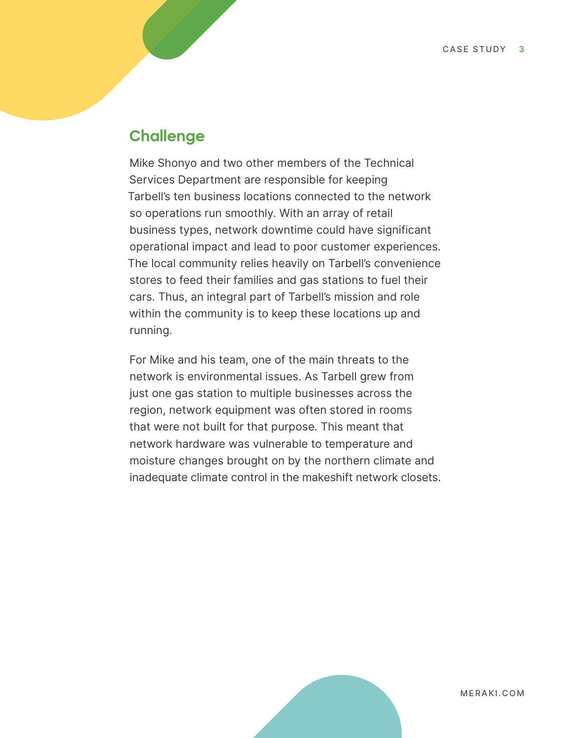#### **Challenge**

Mike Shonyo and two other members of the Technical Services Department are responsible for keeping Tarbell's ten business locations connected to the network so operations run smoothly. With an array of retail business types, network downtime could have significant operational impact and lead to poor customer experiences. The local community relies heavily on Tarbell's convenience stores to feed their families and gas stations to fuel their cars. Thus, an integral part of Tarbell's mission and role within the community is to keep these locations up and running.

For Mike and his team, one of the main threats to the network is environmental issues. As Tarbell grew from just one gas station to multiple businesses across the region, network equipment was often stored in rooms that were not built for that purpose. This meant that network hardware was vulnerable to temperature and moisture changes brought on by the northern climate and inadequate climate control in the makeshift network closets.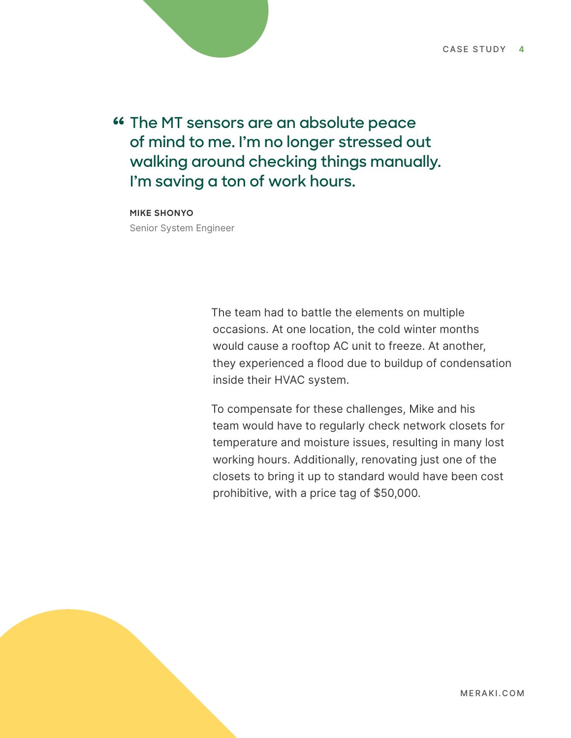**The MT sensors are an absolute peace of mind to me. I'm no longer stressed out walking around checking things manually. I'm saving a ton of work hours.**

**MIKE SHONYO** Senior System Engineer

> The team had to battle the elements on multiple occasions. At one location, the cold winter months would cause a rooftop AC unit to freeze. At another, they experienced a flood due to buildup of condensation inside their HVAC system.

To compensate for these challenges, Mike and his team would have to regularly check network closets for temperature and moisture issues, resulting in many lost working hours. Additionally, renovating just one of the closets to bring it up to standard would have been cost prohibitive, with a price tag of \$50,000.

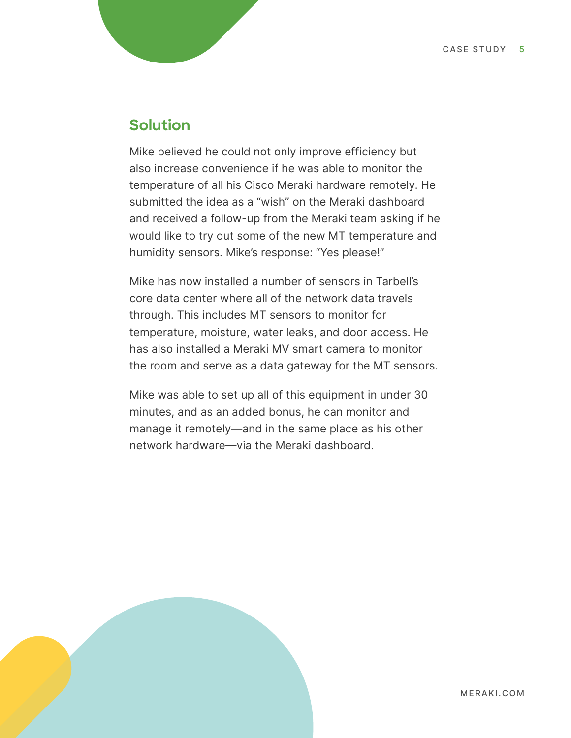#### **Solution**

Mike believed he could not only improve efficiency but also increase convenience if he was able to monitor the temperature of all his Cisco Meraki hardware remotely. He submitted the idea as a "wish" on the Meraki dashboard and received a follow-up from the Meraki team asking if he would like to try out some of the new MT temperature and humidity sensors. Mike's response: "Yes please!"

Mike has now installed a number of sensors in Tarbell's core data center where all of the network data travels through. This includes MT sensors to monitor for temperature, moisture, water leaks, and door access. He has also installed a Meraki MV smart camera to monitor the room and serve as a data gateway for the MT sensors.

Mike was able to set up all of this equipment in under 30 minutes, and as an added bonus, he can monitor and manage it remotely—and in the same place as his other network hardware—via the Meraki dashboard.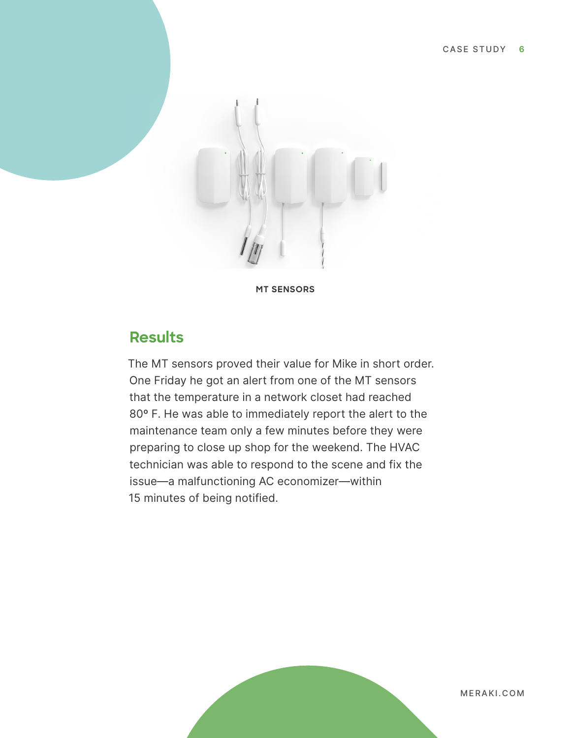

**MT SENSORS**

#### **Results**

The MT sensors proved their value for Mike in short order. One Friday he got an alert from one of the MT sensors that the temperature in a network closet had reached 80º F. He was able to immediately report the alert to the maintenance team only a few minutes before they were preparing to close up shop for the weekend. The HVAC technician was able to respond to the scene and fix the issue—a malfunctioning AC economizer—within 15 minutes of being notified.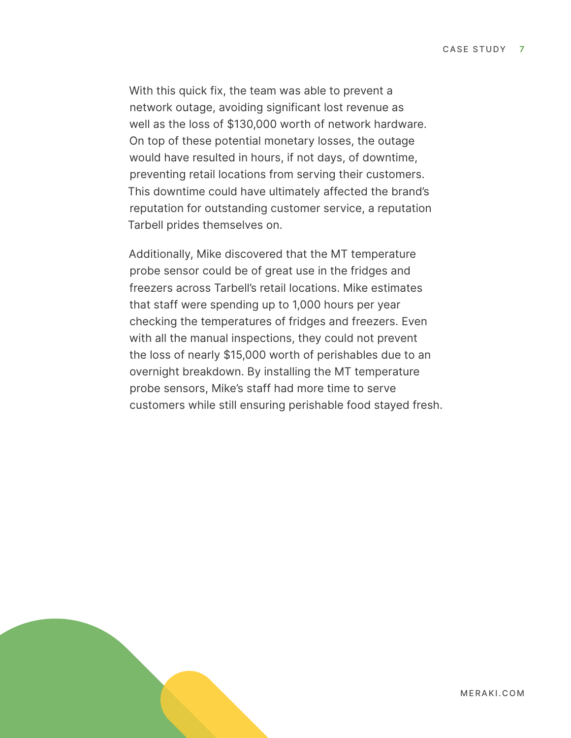With this quick fix, the team was able to prevent a network outage, avoiding significant lost revenue as well as the loss of \$130,000 worth of network hardware. On top of these potential monetary losses, the outage would have resulted in hours, if not days, of downtime, preventing retail locations from serving their customers. This downtime could have ultimately affected the brand's reputation for outstanding customer service, a reputation Tarbell prides themselves on.

Additionally, Mike discovered that the MT temperature probe sensor could be of great use in the fridges and freezers across Tarbell's retail locations. Mike estimates that staff were spending up to 1,000 hours per year checking the temperatures of fridges and freezers. Even with all the manual inspections, they could not prevent the loss of nearly \$15,000 worth of perishables due to an overnight breakdown. By installing the MT temperature probe sensors, Mike's staff had more time to serve customers while still ensuring perishable food stayed fresh.



[MERAKI.COM](https://meraki.cisco.com/)